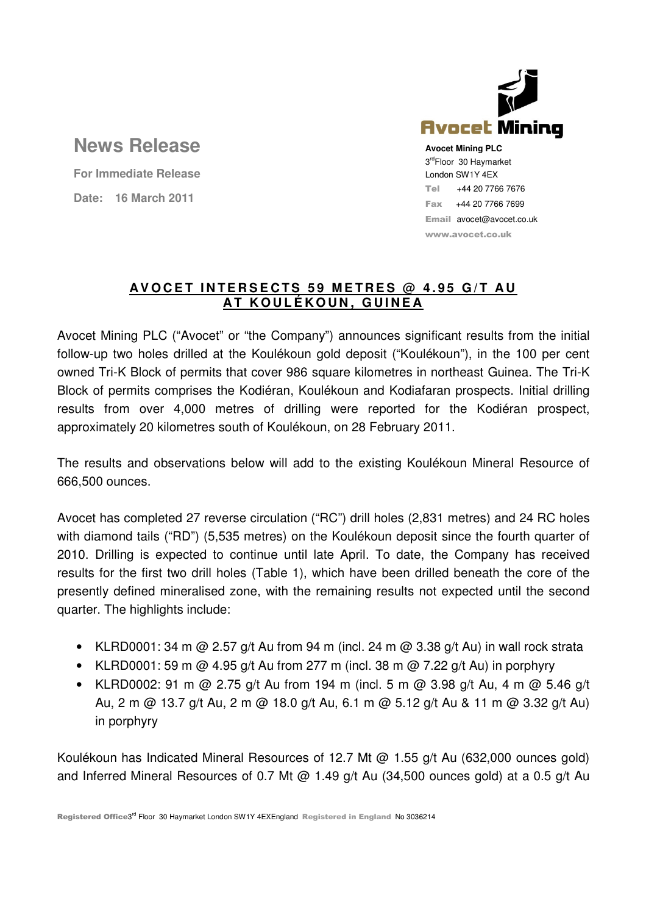

Email avocet@avocet.co.uk www.avocet.co.uk

# **News Release**

**For Immediate Release Date: 16 March 2011**

## **A V O C E T I N T E R S E C T S 5 9 M E T R E S @ 4 . 9 5 G / T A U A T K O U L É K O U N , G U I N E A**

Avocet Mining PLC ("Avocet" or "the Company") announces significant results from the initial follow-up two holes drilled at the Koulékoun gold deposit ("Koulékoun"), in the 100 per cent owned Tri-K Block of permits that cover 986 square kilometres in northeast Guinea. The Tri-K Block of permits comprises the Kodiéran, Koulékoun and Kodiafaran prospects. Initial drilling results from over 4,000 metres of drilling were reported for the Kodiéran prospect, approximately 20 kilometres south of Koulékoun, on 28 February 2011.

The results and observations below will add to the existing Koulékoun Mineral Resource of 666,500 ounces.

Avocet has completed 27 reverse circulation ("RC") drill holes (2,831 metres) and 24 RC holes with diamond tails ("RD") (5,535 metres) on the Koulékoun deposit since the fourth quarter of 2010. Drilling is expected to continue until late April. To date, the Company has received results for the first two drill holes (Table 1), which have been drilled beneath the core of the presently defined mineralised zone, with the remaining results not expected until the second quarter. The highlights include:

- KLRD0001: 34 m @ 2.57 g/t Au from 94 m (incl. 24 m @ 3.38 g/t Au) in wall rock strata
- KLRD0001: 59 m @ 4.95 g/t Au from 277 m (incl. 38 m @ 7.22 g/t Au) in porphyry
- KLRD0002: 91 m @ 2.75 g/t Au from 194 m (incl. 5 m @ 3.98 g/t Au, 4 m @ 5.46 g/t Au, 2 m @ 13.7 g/t Au, 2 m @ 18.0 g/t Au, 6.1 m @ 5.12 g/t Au & 11 m @ 3.32 g/t Au) in porphyry

Koulékoun has Indicated Mineral Resources of 12.7 Mt @ 1.55 g/t Au (632,000 ounces gold) and Inferred Mineral Resources of 0.7 Mt @ 1.49 g/t Au (34,500 ounces gold) at a 0.5 g/t Au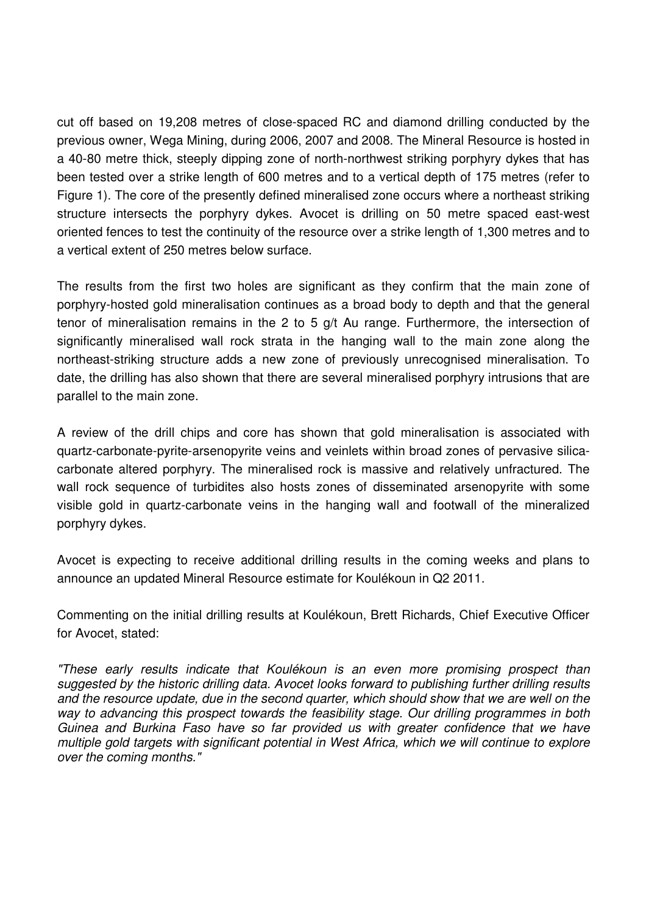cut off based on 19,208 metres of close-spaced RC and diamond drilling conducted by the previous owner, Wega Mining, during 2006, 2007 and 2008. The Mineral Resource is hosted in a 40-80 metre thick, steeply dipping zone of north-northwest striking porphyry dykes that has been tested over a strike length of 600 metres and to a vertical depth of 175 metres (refer to Figure 1). The core of the presently defined mineralised zone occurs where a northeast striking structure intersects the porphyry dykes. Avocet is drilling on 50 metre spaced east-west oriented fences to test the continuity of the resource over a strike length of 1,300 metres and to a vertical extent of 250 metres below surface.

The results from the first two holes are significant as they confirm that the main zone of porphyry-hosted gold mineralisation continues as a broad body to depth and that the general tenor of mineralisation remains in the 2 to 5 g/t Au range. Furthermore, the intersection of significantly mineralised wall rock strata in the hanging wall to the main zone along the northeast-striking structure adds a new zone of previously unrecognised mineralisation. To date, the drilling has also shown that there are several mineralised porphyry intrusions that are parallel to the main zone.

A review of the drill chips and core has shown that gold mineralisation is associated with quartz-carbonate-pyrite-arsenopyrite veins and veinlets within broad zones of pervasive silicacarbonate altered porphyry. The mineralised rock is massive and relatively unfractured. The wall rock sequence of turbidites also hosts zones of disseminated arsenopyrite with some visible gold in quartz-carbonate veins in the hanging wall and footwall of the mineralized porphyry dykes.

Avocet is expecting to receive additional drilling results in the coming weeks and plans to announce an updated Mineral Resource estimate for Koulékoun in Q2 2011.

Commenting on the initial drilling results at Koulékoun, Brett Richards, Chief Executive Officer for Avocet, stated:

"These early results indicate that Koulékoun is an even more promising prospect than suggested by the historic drilling data. Avocet looks forward to publishing further drilling results and the resource update, due in the second quarter, which should show that we are well on the way to advancing this prospect towards the feasibility stage. Our drilling programmes in both Guinea and Burkina Faso have so far provided us with greater confidence that we have multiple gold targets with significant potential in West Africa, which we will continue to explore over the coming months."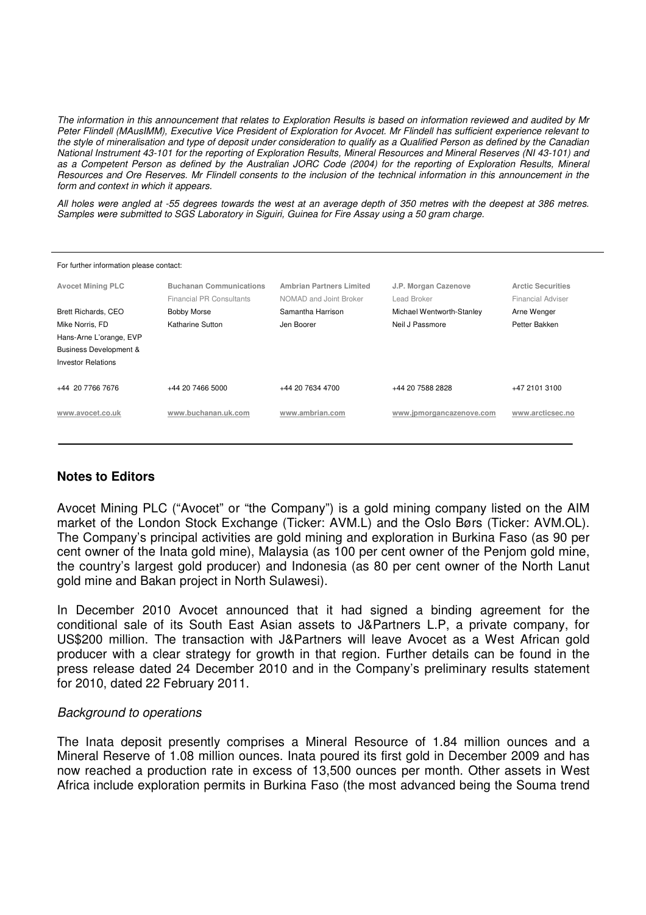The information in this announcement that relates to Exploration Results is based on information reviewed and audited by Mr Peter Flindell (MAusIMM), Executive Vice President of Exploration for Avocet. Mr Flindell has sufficient experience relevant to the style of mineralisation and type of deposit under consideration to qualify as a Qualified Person as defined by the Canadian National Instrument 43-101 for the reporting of Exploration Results, Mineral Resources and Mineral Reserves (NI 43-101) and as a Competent Person as defined by the Australian JORC Code (2004) for the reporting of Exploration Results, Mineral Resources and Ore Reserves. Mr Flindell consents to the inclusion of the technical information in this announcement in the form and context in which it appears.

All holes were angled at -55 degrees towards the west at an average depth of 350 metres with the deepest at 386 metres. Samples were submitted to SGS Laboratory in Siguiri, Guinea for Fire Assay using a 50 gram charge.

| For further information please contact: |                                 |                                 |                           |                          |  |  |  |  |  |  |  |
|-----------------------------------------|---------------------------------|---------------------------------|---------------------------|--------------------------|--|--|--|--|--|--|--|
| <b>Avocet Mining PLC</b>                | <b>Buchanan Communications</b>  | <b>Ambrian Partners Limited</b> | J.P. Morgan Cazenove      | <b>Arctic Securities</b> |  |  |  |  |  |  |  |
|                                         | <b>Financial PR Consultants</b> | NOMAD and Joint Broker          | Lead Broker               | <b>Financial Adviser</b> |  |  |  |  |  |  |  |
| Brett Richards, CEO                     | <b>Bobby Morse</b>              | Samantha Harrison               | Michael Wentworth-Stanley | Arne Wenger              |  |  |  |  |  |  |  |
| Mike Norris, FD                         | Katharine Sutton                | Jen Boorer                      | Neil J Passmore           | Petter Bakken            |  |  |  |  |  |  |  |
| Hans-Arne L'orange, EVP                 |                                 |                                 |                           |                          |  |  |  |  |  |  |  |
| <b>Business Development &amp;</b>       |                                 |                                 |                           |                          |  |  |  |  |  |  |  |
| <b>Investor Relations</b>               |                                 |                                 |                           |                          |  |  |  |  |  |  |  |
| +44 20 7766 7676                        | +44 20 7466 5000                | +44 20 7634 4700                | +44 20 7588 2828          | +47 2101 3100            |  |  |  |  |  |  |  |
| www.avocet.co.uk                        | www.buchanan.uk.com             | www.ambrian.com                 | www.jpmorgancazenove.com  | www.arcticsec.no         |  |  |  |  |  |  |  |
|                                         |                                 |                                 |                           |                          |  |  |  |  |  |  |  |

### **Notes to Editors**

Avocet Mining PLC ("Avocet" or "the Company") is a gold mining company listed on the AIM market of the London Stock Exchange (Ticker: AVM.L) and the Oslo Børs (Ticker: AVM.OL). The Company's principal activities are gold mining and exploration in Burkina Faso (as 90 per cent owner of the Inata gold mine), Malaysia (as 100 per cent owner of the Penjom gold mine, the country's largest gold producer) and Indonesia (as 80 per cent owner of the North Lanut gold mine and Bakan project in North Sulawesi).

In December 2010 Avocet announced that it had signed a binding agreement for the conditional sale of its South East Asian assets to J&Partners L.P, a private company, for US\$200 million. The transaction with J&Partners will leave Avocet as a West African gold producer with a clear strategy for growth in that region. Further details can be found in the press release dated 24 December 2010 and in the Company's preliminary results statement for 2010, dated 22 February 2011.

#### Background to operations

The Inata deposit presently comprises a Mineral Resource of 1.84 million ounces and a Mineral Reserve of 1.08 million ounces. Inata poured its first gold in December 2009 and has now reached a production rate in excess of 13,500 ounces per month. Other assets in West Africa include exploration permits in Burkina Faso (the most advanced being the Souma trend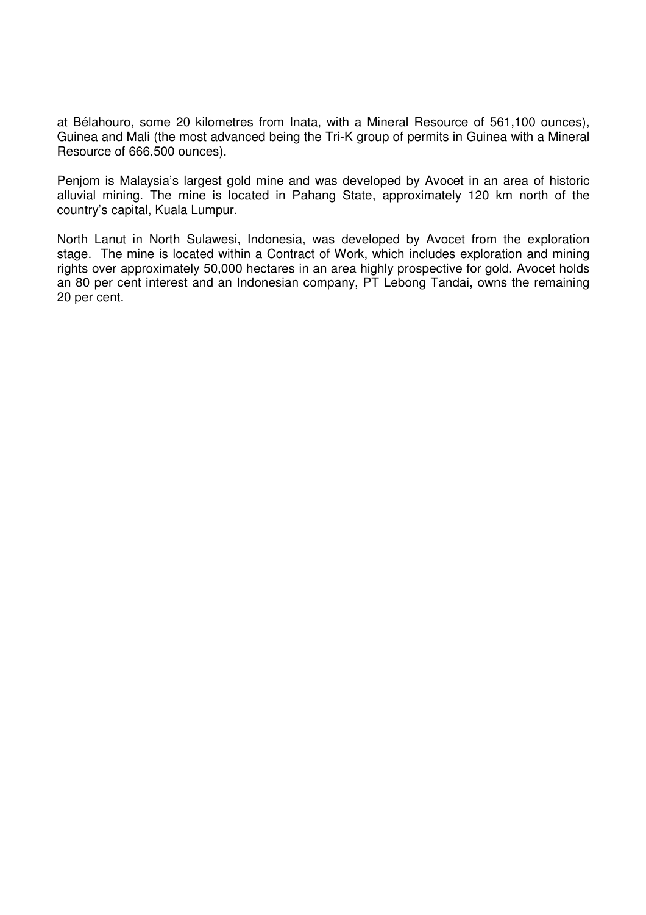at Bélahouro, some 20 kilometres from Inata, with a Mineral Resource of 561,100 ounces), Guinea and Mali (the most advanced being the Tri-K group of permits in Guinea with a Mineral Resource of 666,500 ounces).

Penjom is Malaysia's largest gold mine and was developed by Avocet in an area of historic alluvial mining. The mine is located in Pahang State, approximately 120 km north of the country's capital, Kuala Lumpur.

North Lanut in North Sulawesi, Indonesia, was developed by Avocet from the exploration stage. The mine is located within a Contract of Work, which includes exploration and mining rights over approximately 50,000 hectares in an area highly prospective for gold. Avocet holds an 80 per cent interest and an Indonesian company, PT Lebong Tandai, owns the remaining 20 per cent.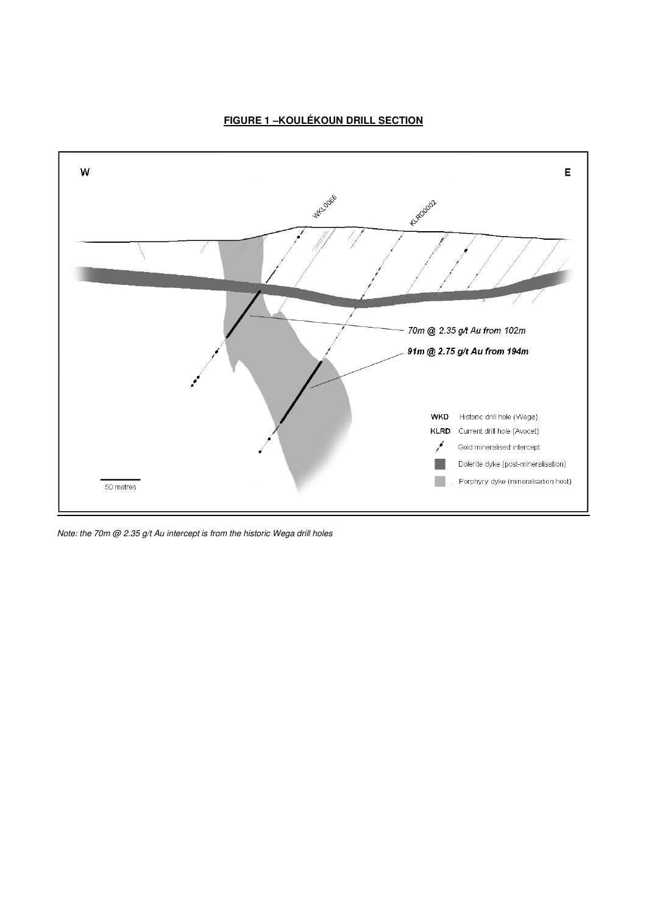#### **FIGURE 1-KOULÉKOUN DRILL SECTION**



Note: the 70m @ 2.35 g/t Au intercept is from the historic Wega drill holes